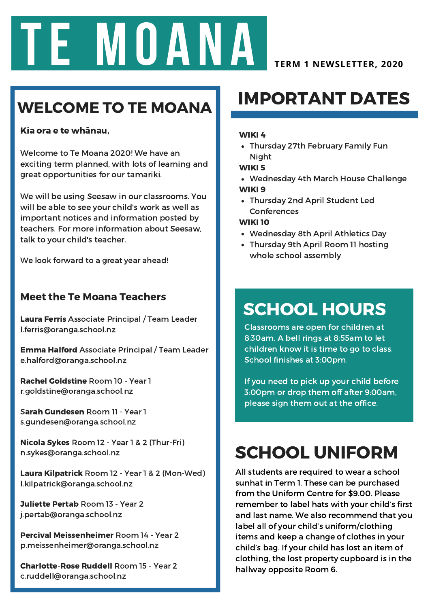

### WELCOME TO TE MOANA

#### Kia ora e te whānau,

Welcome to Te Moana 2020! We have an exciting term planned, with lots of learning and great opportunities for our tamariki.

We will be using Seesaw in our classrooms. You will be able to see your child's work as well as important notices and information posted by teachers. For more information about Seesaw, talk to your child's teacher.

We look forward to a great year ahead!

#### Meet the Te Moana Teachers

Laura Ferris Associate Principal / Team Leader l.ferris@oranga.school.nz

Emma Halford Associate Principal / Team Leader e.halford@oranga.school.nz

Rachel Goldstine Room 10 - Year 1 r.goldstine@oranga.school.nz

Sarah Gundesen Room 11 - Year 1 s.gundesen@oranga.school.nz

Nicola Sykes Room 12 - Year 1 & 2 (Thur-Fri) n.sykes@oranga.school.nz

Laura Kilpatrick Room 12 - Year 1 & 2 (Mon-Wed) l.kilpatrick@oranga.school.nz

Juliette Pertab Room 13 - Year 2 j.pertab@oranga.school.nz

Percival Meissenheimer Room 14 - Year 2 p.meissenheimer@oranga.school.nz

Charlotte-Rose Ruddell Room 15 - Year 2 c.ruddell@oranga.school.nz

#### IMPORTANT DATES

#### WIKI 4

Thursday 27th February Family Fun Night

WIKI 5

- Wednesday 4th March House Challenge WIKI 9
- Thursday 2nd April Student Led Conferences

#### WIKI 10

- Wednesday 8th April Athletics Day
- Thursday 9th April Room 11 hosting whole school assembly

### SCHOOL HOURS

[Classrooms](https://blog.seesaw.me/teawa2019) are open for children at 8:30am. A bell rings at 8:55am to let children know it is time to go to class. School finishes at 3:00pm.

If you need to pick up your child before 3:00pm or drop them off after 9:00am, please sign them out at the office.

## SCHOOL UNIFORM

All students are required to wear a school sunhat in Term 1. These can be purchased from the Uniform Centre for \$9.00. Please remember to label hats with your child's first and last name. We also recommend that you label all of your child's uniform/clothing items and keep a change of clothes in your child's bag. If your child has lost an item of clothing, the lost property cupboard is in the hallway opposite Room 6.